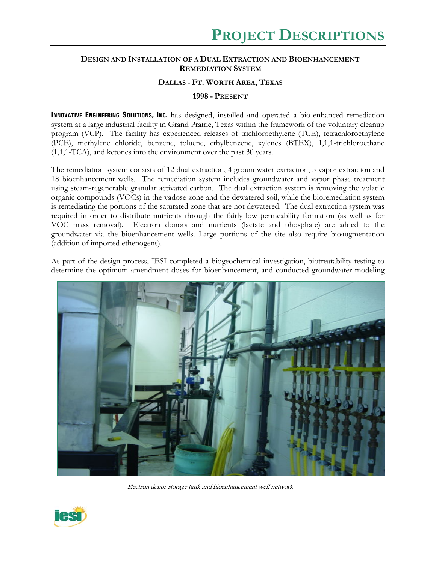## **DESIGN AND INSTALLATION OF A DUAL EXTRACTION AND BIOENHANCEMENT REMEDIATION SYSTEM**

## **DALLAS - FT. WORTH AREA, TEXAS**

## **1998 - PRESENT**

**INNOVATIVE ENGINEERING SOLUTIONS, INC.** has designed, installed and operated a bio-enhanced remediation system at a large industrial facility in Grand Prairie, Texas within the framework of the voluntary cleanup program (VCP). The facility has experienced releases of trichloroethylene (TCE), tetrachloroethylene (PCE), methylene chloride, benzene, toluene, ethylbenzene, xylenes (BTEX), 1,1,1-trichloroethane (1,1,1-TCA), and ketones into the environment over the past 30 years.

The remediation system consists of 12 dual extraction, 4 groundwater extraction, 5 vapor extraction and 18 bioenhancement wells. The remediation system includes groundwater and vapor phase treatment using steam-regenerable granular activated carbon. The dual extraction system is removing the volatile organic compounds (VOCs) in the vadose zone and the dewatered soil, while the bioremediation system is remediating the portions of the saturated zone that are not dewatered. The dual extraction system was required in order to distribute nutrients through the fairly low permeability formation (as well as for VOC mass removal). Electron donors and nutrients (lactate and phosphate) are added to the groundwater via the bioenhancement wells. Large portions of the site also require bioaugmentation (addition of imported ethenogens).

As part of the design process, IESI completed a biogeochemical investigation, biotreatability testing to determine the optimum amendment doses for bioenhancement, and conducted groundwater modeling



Electron donor storage tank and bioenhancement well network

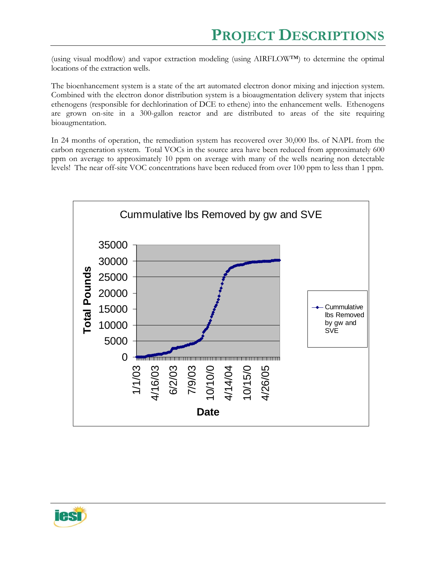(using visual modflow) and vapor extraction modeling (using AIRFLOW™) to determine the optimal locations of the extraction wells.

The bioenhancement system is a state of the art automated electron donor mixing and injection system. Combined with the electron donor distribution system is a bioaugmentation delivery system that injects ethenogens (responsible for dechlorination of DCE to ethene) into the enhancement wells. Ethenogens are grown on-site in a 300-gallon reactor and are distributed to areas of the site requiring bioaugmentation.

In 24 months of operation, the remediation system has recovered over 30,000 lbs. of NAPL from the carbon regeneration system. Total VOCs in the source area have been reduced from approximately 600 ppm on average to approximately 10 ppm on average with many of the wells nearing non detectable levels! The near off-site VOC concentrations have been reduced from over 100 ppm to less than 1 ppm.



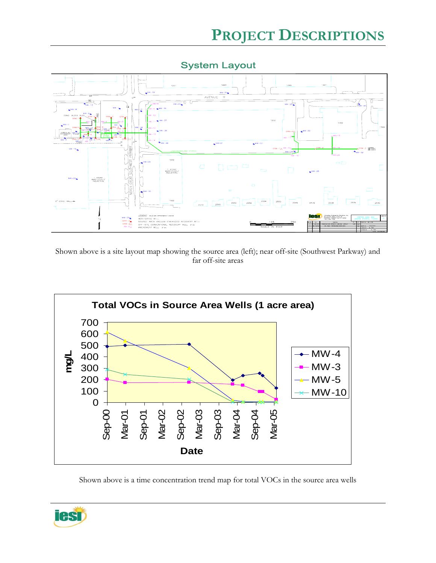

System Layout

Shown above is a site layout map showing the source area (left); near off-site (Southwest Parkway) and far off-site areas



Shown above is a time concentration trend map for total VOCs in the source area wells